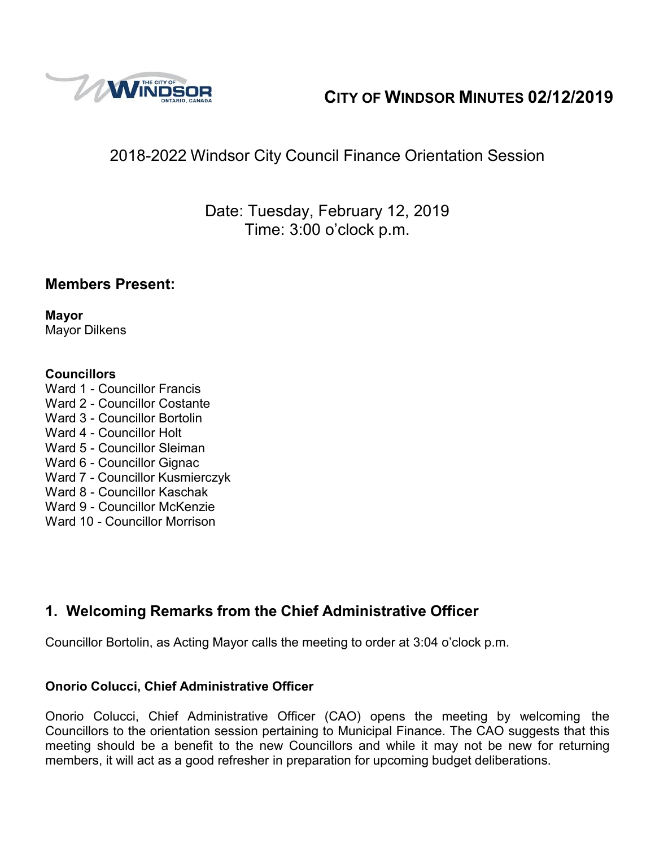

# **CITY OF WINDSOR MINUTES 02/12/2019**

# 2018-2022 Windsor City Council Finance Orientation Session

Date: Tuesday, February 12, 2019 Time: 3:00 o'clock p.m.

## **Members Present:**

**Mayor** Mayor Dilkens

### **Councillors**

Ward 1 - Councillor Francis Ward 2 - Councillor Costante Ward 3 - Councillor Bortolin Ward 4 - Councillor Holt Ward 5 - Councillor Sleiman Ward 6 - Councillor Gignac Ward 7 - Councillor Kusmierczyk Ward 8 - Councillor Kaschak Ward 9 - Councillor McKenzie Ward 10 - Councillor Morrison

## **1. Welcoming Remarks from the Chief Administrative Officer**

Councillor Bortolin, as Acting Mayor calls the meeting to order at 3:04 o'clock p.m.

### **Onorio Colucci, Chief Administrative Officer**

Onorio Colucci, Chief Administrative Officer (CAO) opens the meeting by welcoming the Councillors to the orientation session pertaining to Municipal Finance. The CAO suggests that this meeting should be a benefit to the new Councillors and while it may not be new for returning members, it will act as a good refresher in preparation for upcoming budget deliberations.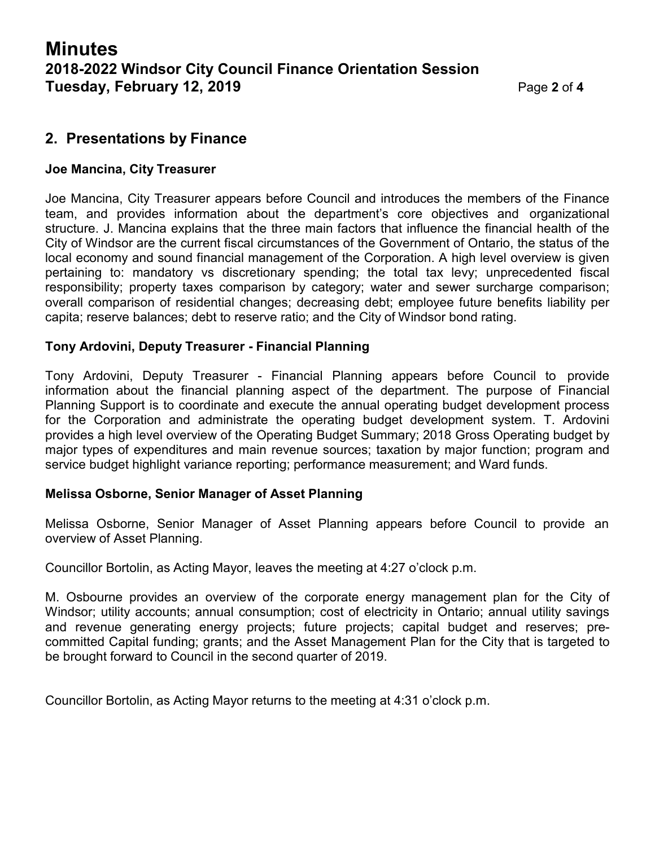### **2. Presentations by Finance**

#### **Joe Mancina, City Treasurer**

Joe Mancina, City Treasurer appears before Council and introduces the members of the Finance team, and provides information about the department's core objectives and organizational structure. J. Mancina explains that the three main factors that influence the financial health of the City of Windsor are the current fiscal circumstances of the Government of Ontario, the status of the local economy and sound financial management of the Corporation. A high level overview is given pertaining to: mandatory vs discretionary spending; the total tax levy; unprecedented fiscal responsibility; property taxes comparison by category; water and sewer surcharge comparison; overall comparison of residential changes; decreasing debt; employee future benefits liability per capita; reserve balances; debt to reserve ratio; and the City of Windsor bond rating.

### **Tony Ardovini, Deputy Treasurer - Financial Planning**

Tony Ardovini, Deputy Treasurer - Financial Planning appears before Council to provide information about the financial planning aspect of the department. The purpose of Financial Planning Support is to coordinate and execute the annual operating budget development process for the Corporation and administrate the operating budget development system. T. Ardovini provides a high level overview of the Operating Budget Summary; 2018 Gross Operating budget by major types of expenditures and main revenue sources; taxation by major function; program and service budget highlight variance reporting; performance measurement; and Ward funds.

#### **Melissa Osborne, Senior Manager of Asset Planning**

Melissa Osborne, Senior Manager of Asset Planning appears before Council to provide an overview of Asset Planning.

Councillor Bortolin, as Acting Mayor, leaves the meeting at 4:27 o'clock p.m.

M. Osbourne provides an overview of the corporate energy management plan for the City of Windsor; utility accounts; annual consumption; cost of electricity in Ontario; annual utility savings and revenue generating energy projects; future projects; capital budget and reserves; precommitted Capital funding; grants; and the Asset Management Plan for the City that is targeted to be brought forward to Council in the second quarter of 2019.

Councillor Bortolin, as Acting Mayor returns to the meeting at 4:31 o'clock p.m.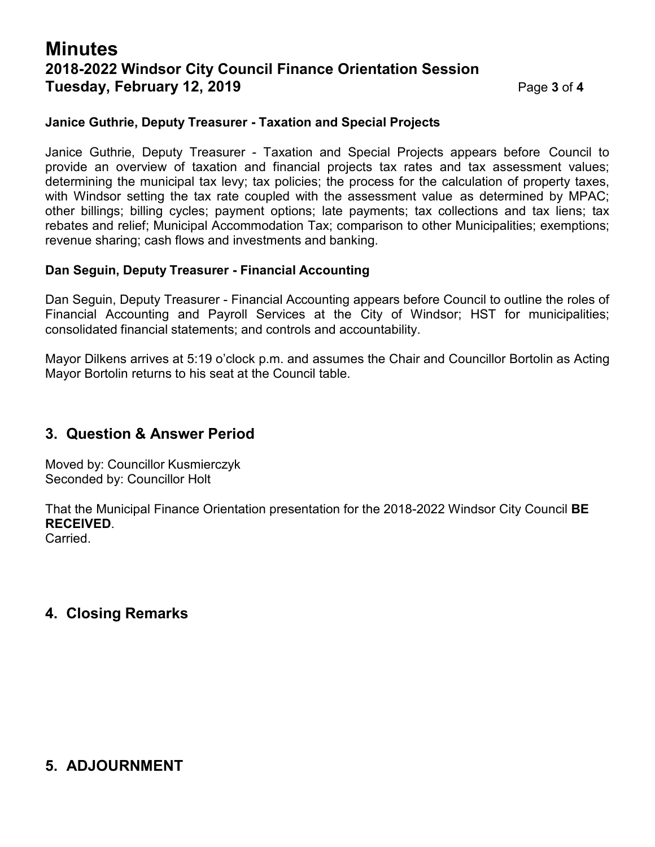## **Minutes 2018-2022 Windsor City Council Finance Orientation Session Tuesday, February 12, 2019** Page **3** of **4**

#### **Janice Guthrie, Deputy Treasurer - Taxation and Special Projects**

Janice Guthrie, Deputy Treasurer - Taxation and Special Projects appears before Council to provide an overview of taxation and financial projects tax rates and tax assessment values; determining the municipal tax levy; tax policies; the process for the calculation of property taxes, with Windsor setting the tax rate coupled with the assessment value as determined by MPAC; other billings; billing cycles; payment options; late payments; tax collections and tax liens; tax rebates and relief; Municipal Accommodation Tax; comparison to other Municipalities; exemptions; revenue sharing; cash flows and investments and banking.

#### **Dan Seguin, Deputy Treasurer - Financial Accounting**

Dan Seguin, Deputy Treasurer - Financial Accounting appears before Council to outline the roles of Financial Accounting and Payroll Services at the City of Windsor; HST for municipalities; consolidated financial statements; and controls and accountability.

Mayor Dilkens arrives at 5:19 o'clock p.m. and assumes the Chair and Councillor Bortolin as Acting Mayor Bortolin returns to his seat at the Council table.

## **3. Question & Answer Period**

Moved by: Councillor Kusmierczyk Seconded by: Councillor Holt

That the Municipal Finance Orientation presentation for the 2018-2022 Windsor City Council **BE RECEIVED**.

Carried.

## **4. Closing Remarks**

## **5. ADJOURNMENT**